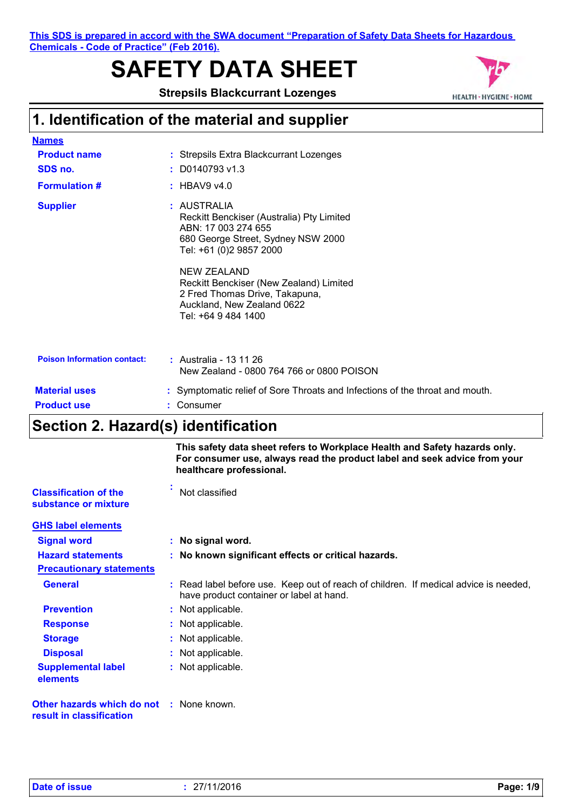**This SDS is prepared in accord with the SWA document "Preparation of Safety Data Sheets for Hazardous Chemicals - Code of Practice" (Feb 2016).**

# **SAFETY DATA SHEET**

**Strepsils Blackcurrant Lozenges**



## **1. Identification of the material and supplier**

| <b>Names</b>                       |                                                                                                                                                                                                                                                                                                   |
|------------------------------------|---------------------------------------------------------------------------------------------------------------------------------------------------------------------------------------------------------------------------------------------------------------------------------------------------|
| <b>Product name</b>                | : Strepsils Extra Blackcurrant Lozenges                                                                                                                                                                                                                                                           |
| SDS no.                            | $:$ D0140793 v1.3                                                                                                                                                                                                                                                                                 |
| <b>Formulation #</b>               | : HBAV9 v4.0                                                                                                                                                                                                                                                                                      |
| <b>Supplier</b>                    | : AUSTRALIA<br>Reckitt Benckiser (Australia) Pty Limited<br>ABN: 17 003 274 655<br>680 George Street, Sydney NSW 2000<br>Tel: +61 (0)2 9857 2000<br>NEW ZEALAND<br>Reckitt Benckiser (New Zealand) Limited<br>2 Fred Thomas Drive, Takapuna,<br>Auckland, New Zealand 0622<br>Tel: +64 9 484 1400 |
| <b>Poison Information contact:</b> | : Australia - 13 11 26<br>New Zealand - 0800 764 766 or 0800 POISON                                                                                                                                                                                                                               |
| <b>Material uses</b>               | : Symptomatic relief of Sore Throats and Infections of the throat and mouth.                                                                                                                                                                                                                      |
| <b>Product use</b>                 | : Consumer                                                                                                                                                                                                                                                                                        |

## **Section 2. Hazard(s) identification**

|                                                                      | This safety data sheet refers to Workplace Health and Safety hazards only.<br>For consumer use, always read the product label and seek advice from your<br>healthcare professional. |
|----------------------------------------------------------------------|-------------------------------------------------------------------------------------------------------------------------------------------------------------------------------------|
| <b>Classification of the</b><br>substance or mixture                 | Not classified                                                                                                                                                                      |
| <b>GHS label elements</b>                                            |                                                                                                                                                                                     |
| <b>Signal word</b>                                                   | : No signal word.                                                                                                                                                                   |
| <b>Hazard statements</b>                                             | : No known significant effects or critical hazards.                                                                                                                                 |
| <b>Precautionary statements</b>                                      |                                                                                                                                                                                     |
| <b>General</b>                                                       | : Read label before use. Keep out of reach of children. If medical advice is needed,<br>have product container or label at hand.                                                    |
| <b>Prevention</b>                                                    | : Not applicable.                                                                                                                                                                   |
| <b>Response</b>                                                      | : Not applicable.                                                                                                                                                                   |
| <b>Storage</b>                                                       | : Not applicable.                                                                                                                                                                   |
| <b>Disposal</b>                                                      | : Not applicable.                                                                                                                                                                   |
| <b>Supplemental label</b><br>elements                                | : Not applicable.                                                                                                                                                                   |
| Other hazards which do not : None known.<br>result in classification |                                                                                                                                                                                     |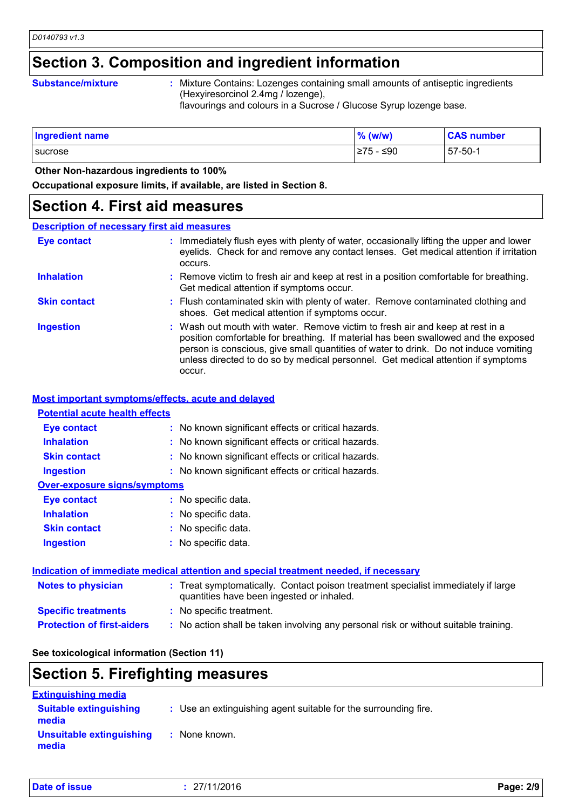## **Section 3. Composition and ingredient information**

#### **Substance/mixture :**

Mixture Contains: Lozenges containing small amounts of antiseptic ingredients (Hexyiresorcinol 2.4mg / lozenge),

flavourings and colours in a Sucrose / Glucose Syrup lozenge base.

| Ingredient name | $%$ (w/w)       | <b>CAS number</b> |
|-----------------|-----------------|-------------------|
| sucrose         | $>75 -$<br>∙≤90 | $57 - 50 - 1$     |

 **Other Non-hazardous ingredients to 100%**

**Occupational exposure limits, if available, are listed in Section 8.**

### **Section 4. First aid measures**

### **Description of necessary first aid measures**

| <b>Eye contact</b>  | : Immediately flush eyes with plenty of water, occasionally lifting the upper and lower<br>eyelids. Check for and remove any contact lenses. Get medical attention if irritation<br>occurs.                                                                                                                                                               |
|---------------------|-----------------------------------------------------------------------------------------------------------------------------------------------------------------------------------------------------------------------------------------------------------------------------------------------------------------------------------------------------------|
| <b>Inhalation</b>   | : Remove victim to fresh air and keep at rest in a position comfortable for breathing.<br>Get medical attention if symptoms occur.                                                                                                                                                                                                                        |
| <b>Skin contact</b> | : Flush contaminated skin with plenty of water. Remove contaminated clothing and<br>shoes. Get medical attention if symptoms occur.                                                                                                                                                                                                                       |
| <b>Ingestion</b>    | : Wash out mouth with water. Remove victim to fresh air and keep at rest in a<br>position comfortable for breathing. If material has been swallowed and the exposed<br>person is conscious, give small quantities of water to drink. Do not induce vomiting<br>unless directed to do so by medical personnel. Get medical attention if symptoms<br>occur. |

### **Most important symptoms/effects, acute and delayed**

### **Potential acute health effects**

| <b>Eye contact</b>                  | : No known significant effects or critical hazards. |
|-------------------------------------|-----------------------------------------------------|
| <b>Inhalation</b>                   | : No known significant effects or critical hazards. |
| <b>Skin contact</b>                 | : No known significant effects or critical hazards. |
| <b>Ingestion</b>                    | : No known significant effects or critical hazards. |
| <b>Over-exposure signs/symptoms</b> |                                                     |
| <b>Eye contact</b>                  | : No specific data.                                 |
| <b>Inhalation</b>                   | : No specific data.                                 |
| <b>Skin contact</b>                 | : No specific data.                                 |
| <b>Ingestion</b>                    | : No specific data.                                 |
|                                     |                                                     |

|                                   | Indication of immediate medical attention and special treatment needed, if necessary                                           |  |
|-----------------------------------|--------------------------------------------------------------------------------------------------------------------------------|--|
| <b>Notes to physician</b>         | : Treat symptomatically. Contact poison treatment specialist immediately if large<br>quantities have been ingested or inhaled. |  |
| <b>Specific treatments</b>        | : No specific treatment.                                                                                                       |  |
| <b>Protection of first-aiders</b> | : No action shall be taken involving any personal risk or without suitable training.                                           |  |

### **See toxicological information (Section 11)**

## **Section 5. Firefighting measures**

| <b>Extinguishing media</b>             |                                                                 |  |
|----------------------------------------|-----------------------------------------------------------------|--|
| <b>Suitable extinguishing</b><br>media | : Use an extinguishing agent suitable for the surrounding fire. |  |
| Unsuitable extinguishing<br>media      | : None known.                                                   |  |

| Date of issue | 27/11/2016 | Page: 2/9 |
|---------------|------------|-----------|
|               |            |           |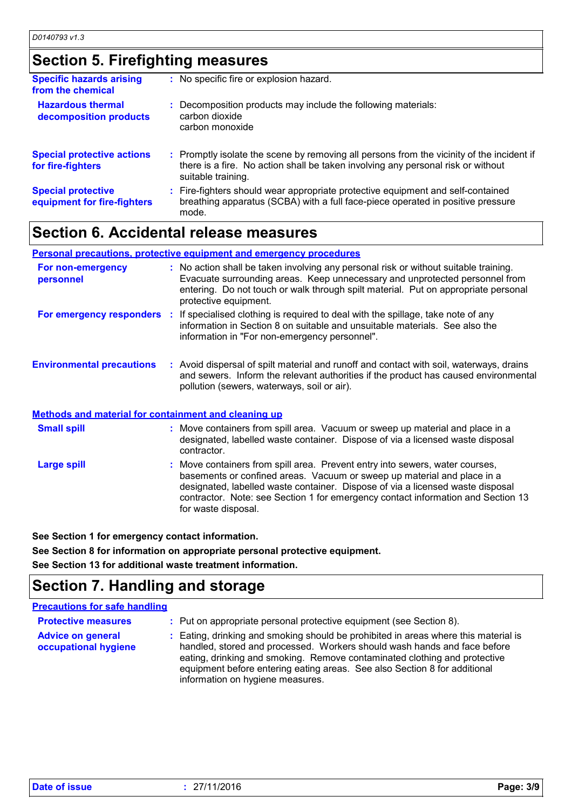## **Section 5. Firefighting measures**

| <b>Specific hazards arising</b><br>from the chemical     | : No specific fire or explosion hazard.                                                                                                                                                             |
|----------------------------------------------------------|-----------------------------------------------------------------------------------------------------------------------------------------------------------------------------------------------------|
| <b>Hazardous thermal</b><br>decomposition products       | : Decomposition products may include the following materials:<br>carbon dioxide<br>carbon monoxide                                                                                                  |
| <b>Special protective actions</b><br>for fire-fighters   | : Promptly isolate the scene by removing all persons from the vicinity of the incident if<br>there is a fire. No action shall be taken involving any personal risk or without<br>suitable training. |
| <b>Special protective</b><br>equipment for fire-fighters | : Fire-fighters should wear appropriate protective equipment and self-contained<br>breathing apparatus (SCBA) with a full face-piece operated in positive pressure<br>mode.                         |

## **Section 6. Accidental release measures**

|                                                             | Personal precautions, protective equipment and emergency procedures                                                                                                                                                                                                                |
|-------------------------------------------------------------|------------------------------------------------------------------------------------------------------------------------------------------------------------------------------------------------------------------------------------------------------------------------------------|
| For non-emergency<br>personnel                              | : No action shall be taken involving any personal risk or without suitable training.<br>Evacuate surrounding areas. Keep unnecessary and unprotected personnel from<br>entering. Do not touch or walk through spilt material. Put on appropriate personal<br>protective equipment. |
| For emergency responders                                    | : If specialised clothing is required to deal with the spillage, take note of any<br>information in Section 8 on suitable and unsuitable materials. See also the<br>information in "For non-emergency personnel".                                                                  |
| <b>Environmental precautions</b>                            | : Avoid dispersal of spilt material and runoff and contact with soil, waterways, drains<br>and sewers. Inform the relevant authorities if the product has caused environmental<br>pollution (sewers, waterways, soil or air).                                                      |
| <b>Methods and material for containment and cleaning up</b> |                                                                                                                                                                                                                                                                                    |
| <b>Small spill</b>                                          | : Move containers from spill area. Vacuum or sweep up material and place in a                                                                                                                                                                                                      |

Move containers from spill area. Prevent entry into sewers, water courses, basements or confined areas. Vacuum or sweep up material and place in a designated, labelled waste container. Dispose of via a licensed waste disposal contractor. Note: see Section 1 for emergency contact information and Section 13 for waste disposal. **Large spill :** designated, labelled waste container. Dispose of via a licensed waste disposal contractor.

**See Section 1 for emergency contact information.**

**See Section 8 for information on appropriate personal protective equipment.**

**See Section 13 for additional waste treatment information.**

## **Section 7. Handling and storage**

| <b>Precautions for safe handling</b>             |                                                                                                                                                                                                                                                                                                                                                               |
|--------------------------------------------------|---------------------------------------------------------------------------------------------------------------------------------------------------------------------------------------------------------------------------------------------------------------------------------------------------------------------------------------------------------------|
| <b>Protective measures</b>                       | : Put on appropriate personal protective equipment (see Section 8).                                                                                                                                                                                                                                                                                           |
| <b>Advice on general</b><br>occupational hygiene | : Eating, drinking and smoking should be prohibited in areas where this material is<br>handled, stored and processed. Workers should wash hands and face before<br>eating, drinking and smoking. Remove contaminated clothing and protective<br>equipment before entering eating areas. See also Section 8 for additional<br>information on hygiene measures. |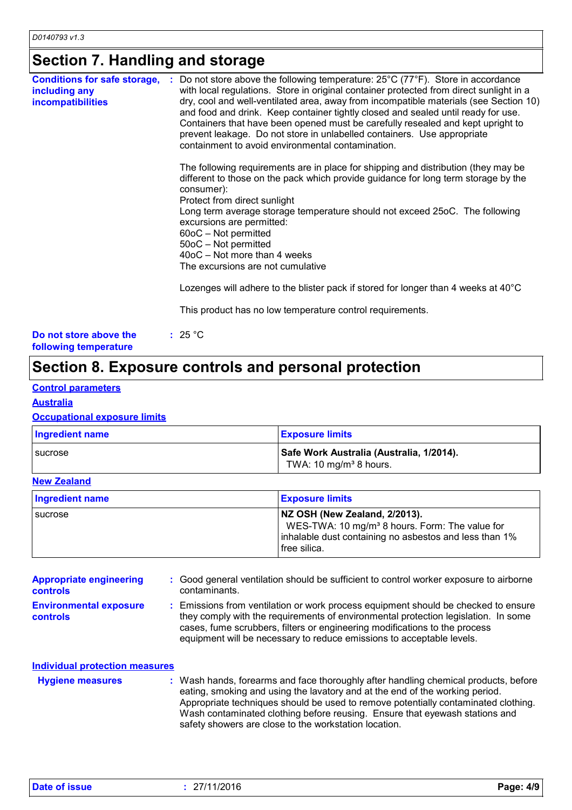## **Section 7. Handling and storage**

| <b>Conditions for safe storage,</b>             | : Do not store above the following temperature: $25^{\circ}$ C (77 $^{\circ}$ F). Store in accordance<br>with local regulations. Store in original container protected from direct sunlight in a                                                                                                                                                                                              |
|-------------------------------------------------|-----------------------------------------------------------------------------------------------------------------------------------------------------------------------------------------------------------------------------------------------------------------------------------------------------------------------------------------------------------------------------------------------|
| including any<br><b>incompatibilities</b>       | dry, cool and well-ventilated area, away from incompatible materials (see Section 10)<br>and food and drink. Keep container tightly closed and sealed until ready for use.<br>Containers that have been opened must be carefully resealed and kept upright to<br>prevent leakage. Do not store in unlabelled containers. Use appropriate<br>containment to avoid environmental contamination. |
|                                                 | The following requirements are in place for shipping and distribution (they may be<br>different to those on the pack which provide guidance for long term storage by the<br>consumer):<br>Protect from direct sunlight                                                                                                                                                                        |
|                                                 | Long term average storage temperature should not exceed 25oC. The following<br>excursions are permitted:<br>$60$ oC – Not permitted<br>50oC - Not permitted                                                                                                                                                                                                                                   |
|                                                 | 40oC - Not more than 4 weeks<br>The excursions are not cumulative                                                                                                                                                                                                                                                                                                                             |
|                                                 | Lozenges will adhere to the blister pack if stored for longer than 4 weeks at 40°C                                                                                                                                                                                                                                                                                                            |
|                                                 | This product has no low temperature control requirements.                                                                                                                                                                                                                                                                                                                                     |
| Do not store above the<br>following temperature | : 25 °C                                                                                                                                                                                                                                                                                                                                                                                       |

## **Section 8. Exposure controls and personal protection**

### **Control parameters**

**Australia**

### **Occupational exposure limits**

| <b>Ingredient name</b> | <b>Exposure limits</b>                                                         |
|------------------------|--------------------------------------------------------------------------------|
| <b>I</b> sucrose       | Safe Work Australia (Australia, 1/2014).<br>TWA: 10 mg/m <sup>3</sup> 8 hours. |

### **New Zealand**

| Ingredient name | <b>Exposure limits</b>                                                                                                                                                |
|-----------------|-----------------------------------------------------------------------------------------------------------------------------------------------------------------------|
| sucrose         | NZ OSH (New Zealand, 2/2013).<br>WES-TWA: 10 mg/m <sup>3</sup> 8 hours. Form: The value for<br>inhalable dust containing no asbestos and less than 1%<br>free silica. |

| <b>Appropriate engineering</b><br><b>controls</b> | : Good general ventilation should be sufficient to control worker exposure to airborne<br>contaminants.                                                                                                                                                                                                                         |
|---------------------------------------------------|---------------------------------------------------------------------------------------------------------------------------------------------------------------------------------------------------------------------------------------------------------------------------------------------------------------------------------|
| <b>Environmental exposure</b><br><b>controls</b>  | : Emissions from ventilation or work process equipment should be checked to ensure<br>they comply with the requirements of environmental protection legislation. In some<br>cases, fume scrubbers, filters or engineering modifications to the process<br>equipment will be necessary to reduce emissions to acceptable levels. |

| <b>Individual protection measures</b> |                                                                                                                                                                                                                                                                                                                                                                                                   |
|---------------------------------------|---------------------------------------------------------------------------------------------------------------------------------------------------------------------------------------------------------------------------------------------------------------------------------------------------------------------------------------------------------------------------------------------------|
| <b>Hygiene measures</b>               | : Wash hands, forearms and face thoroughly after handling chemical products, before<br>eating, smoking and using the lavatory and at the end of the working period.<br>Appropriate techniques should be used to remove potentially contaminated clothing.<br>Wash contaminated clothing before reusing. Ensure that eyewash stations and<br>safety showers are close to the workstation location. |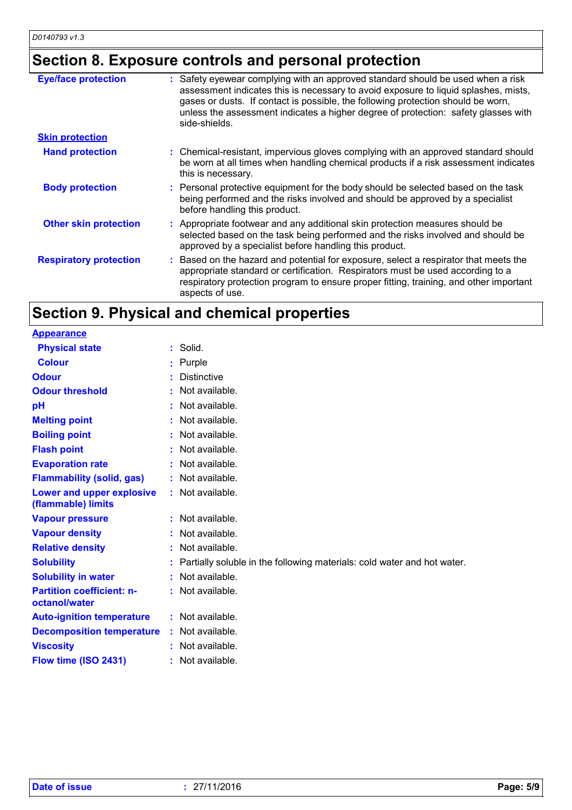## **Section 8. Exposure controls and personal protection**

| <b>Eye/face protection</b>    | : Safety eyewear complying with an approved standard should be used when a risk<br>assessment indicates this is necessary to avoid exposure to liquid splashes, mists,<br>gases or dusts. If contact is possible, the following protection should be worn,<br>unless the assessment indicates a higher degree of protection: safety glasses with<br>side-shields. |
|-------------------------------|-------------------------------------------------------------------------------------------------------------------------------------------------------------------------------------------------------------------------------------------------------------------------------------------------------------------------------------------------------------------|
| <b>Skin protection</b>        |                                                                                                                                                                                                                                                                                                                                                                   |
| <b>Hand protection</b>        | : Chemical-resistant, impervious gloves complying with an approved standard should<br>be worn at all times when handling chemical products if a risk assessment indicates<br>this is necessary.                                                                                                                                                                   |
| <b>Body protection</b>        | : Personal protective equipment for the body should be selected based on the task<br>being performed and the risks involved and should be approved by a specialist<br>before handling this product.                                                                                                                                                               |
| <b>Other skin protection</b>  | : Appropriate footwear and any additional skin protection measures should be<br>selected based on the task being performed and the risks involved and should be<br>approved by a specialist before handling this product.                                                                                                                                         |
| <b>Respiratory protection</b> | : Based on the hazard and potential for exposure, select a respirator that meets the<br>appropriate standard or certification. Respirators must be used according to a<br>respiratory protection program to ensure proper fitting, training, and other important<br>aspects of use.                                                                               |

## **Section 9. Physical and chemical properties**

| $:$ Solid.                                                              |
|-------------------------------------------------------------------------|
| : Purple                                                                |
| <b>Distinctive</b>                                                      |
| Not available.                                                          |
| Not available.                                                          |
| Not available.                                                          |
| : Not available.                                                        |
| Not available.                                                          |
| : Not available.                                                        |
| : Not available.                                                        |
| : Not available.                                                        |
| : Not available.                                                        |
| : Not available.                                                        |
| Not available.                                                          |
| Partially soluble in the following materials: cold water and hot water. |
| : Not available.                                                        |
| : Not available.                                                        |
| : Not available.                                                        |
| : Not available.                                                        |
| : Not available.                                                        |
| : Not available.                                                        |
|                                                                         |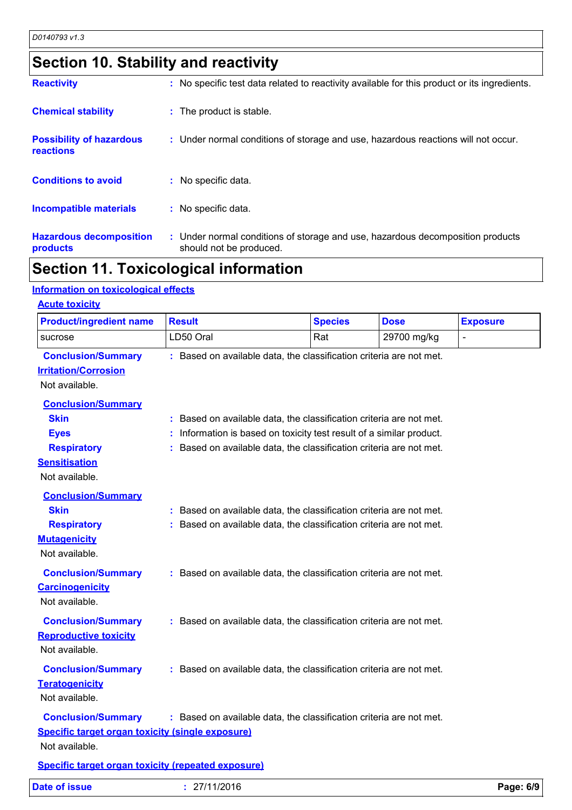## **Section 10. Stability and reactivity**

| <b>Reactivity</b>                            | : No specific test data related to reactivity available for this product or its ingredients.              |
|----------------------------------------------|-----------------------------------------------------------------------------------------------------------|
| <b>Chemical stability</b>                    | : The product is stable.                                                                                  |
| <b>Possibility of hazardous</b><br>reactions | : Under normal conditions of storage and use, hazardous reactions will not occur.                         |
| <b>Conditions to avoid</b>                   | : No specific data.                                                                                       |
| Incompatible materials                       | : No specific data.                                                                                       |
| <b>Hazardous decomposition</b><br>products   | : Under normal conditions of storage and use, hazardous decomposition products<br>should not be produced. |

## **Section 11. Toxicological information**

### **Information on toxicological effects**

| <b>Product/ingredient name</b>                                                                                          | <b>Result</b>                                                                                                                              | <b>Species</b>                                                                                                                          | <b>Dose</b> | <b>Exposure</b> |
|-------------------------------------------------------------------------------------------------------------------------|--------------------------------------------------------------------------------------------------------------------------------------------|-----------------------------------------------------------------------------------------------------------------------------------------|-------------|-----------------|
| sucrose                                                                                                                 | LD50 Oral                                                                                                                                  | Rat                                                                                                                                     | 29700 mg/kg |                 |
| <b>Conclusion/Summary</b><br><b>Irritation/Corrosion</b><br>Not available.                                              | : Based on available data, the classification criteria are not met.                                                                        |                                                                                                                                         |             |                 |
| <b>Conclusion/Summary</b><br><b>Skin</b><br><b>Eyes</b><br><b>Respiratory</b><br><b>Sensitisation</b><br>Not available. | : Based on available data, the classification criteria are not met.                                                                        | Information is based on toxicity test result of a similar product.<br>Based on available data, the classification criteria are not met. |             |                 |
| <b>Conclusion/Summary</b><br><b>Skin</b><br><b>Respiratory</b><br><b>Mutagenicity</b><br>Not available.                 | : Based on available data, the classification criteria are not met.<br>: Based on available data, the classification criteria are not met. |                                                                                                                                         |             |                 |
| <b>Conclusion/Summary</b><br><b>Carcinogenicity</b><br>Not available.                                                   | : Based on available data, the classification criteria are not met.                                                                        |                                                                                                                                         |             |                 |
| <b>Conclusion/Summary</b><br><b>Reproductive toxicity</b><br>Not available.                                             | : Based on available data, the classification criteria are not met.                                                                        |                                                                                                                                         |             |                 |
| <b>Conclusion/Summary</b><br><b>Teratogenicity</b><br>Not available.                                                    | : Based on available data, the classification criteria are not met.                                                                        |                                                                                                                                         |             |                 |
| <b>Conclusion/Summary</b><br><b>Specific target organ toxicity (single exposure)</b><br>Not available.                  | : Based on available data, the classification criteria are not met.                                                                        |                                                                                                                                         |             |                 |
| <b>Specific target organ toxicity (repeated exposure)</b>                                                               |                                                                                                                                            |                                                                                                                                         |             |                 |
| <b>Date of issue</b>                                                                                                    | : 27/11/2016                                                                                                                               |                                                                                                                                         |             | Page: 6/9       |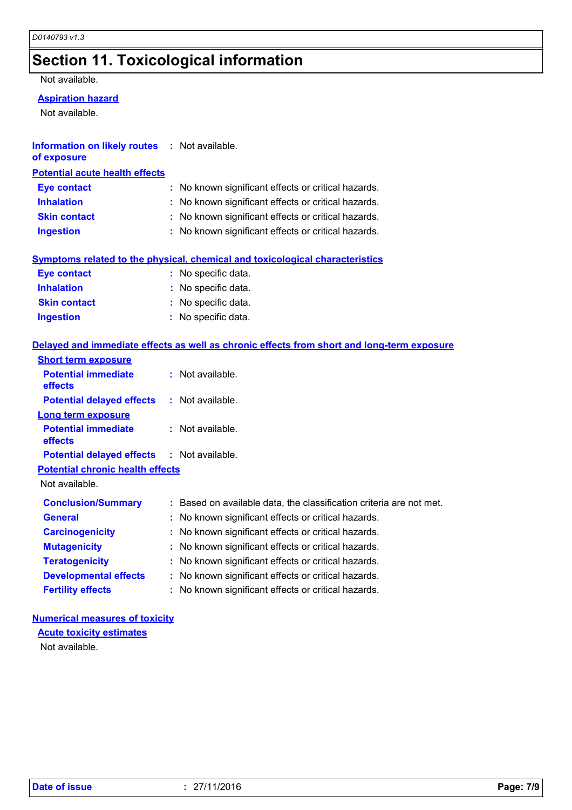## **Section 11. Toxicological information**

Not available.

### **Aspiration hazard**

Not available.

| <b>Information on likely routes : Not available.</b> |  |
|------------------------------------------------------|--|
| of exposure                                          |  |

### **Potential acute health effects**

| <b>Eye contact</b>  | : No known significant effects or critical hazards. |
|---------------------|-----------------------------------------------------|
| <b>Inhalation</b>   | : No known significant effects or critical hazards. |
| <b>Skin contact</b> | : No known significant effects or critical hazards. |
| <b>Ingestion</b>    | : No known significant effects or critical hazards. |

### **Symptoms related to the physical, chemical and toxicological characteristics**

| <b>Eye contact</b>  | : No specific data. |
|---------------------|---------------------|
| <b>Inhalation</b>   | : No specific data. |
| <b>Skin contact</b> | : No specific data. |
| <b>Ingestion</b>    | : No specific data. |

### **Delayed and immediate effects as well as chronic effects from short and long-term exposure**

| <b>Short term exposure</b>                        |  |                                                                     |
|---------------------------------------------------|--|---------------------------------------------------------------------|
| <b>Potential immediate</b><br><b>effects</b>      |  | $:$ Not available.                                                  |
| <b>Potential delayed effects</b>                  |  | : Not available.                                                    |
| <b>Long term exposure</b>                         |  |                                                                     |
| <b>Potential immediate</b><br><b>effects</b>      |  | $:$ Not available.                                                  |
| <b>Potential delayed effects : Not available.</b> |  |                                                                     |
| <b>Potential chronic health effects</b>           |  |                                                                     |
| Not available.                                    |  |                                                                     |
| <b>Conclusion/Summary</b>                         |  | : Based on available data, the classification criteria are not met. |
| <b>General</b>                                    |  | : No known significant effects or critical hazards.                 |
| <b>Carcinogenicity</b>                            |  | : No known significant effects or critical hazards.                 |
| <b>Mutagenicity</b>                               |  | : No known significant effects or critical hazards.                 |
| <b>Teratogenicity</b>                             |  | : No known significant effects or critical hazards.                 |
| <b>Developmental effects</b>                      |  | : No known significant effects or critical hazards.                 |
| <b>Fertility effects</b>                          |  | : No known significant effects or critical hazards.                 |

### **Numerical measures of toxicity**

**Acute toxicity estimates**

Not available.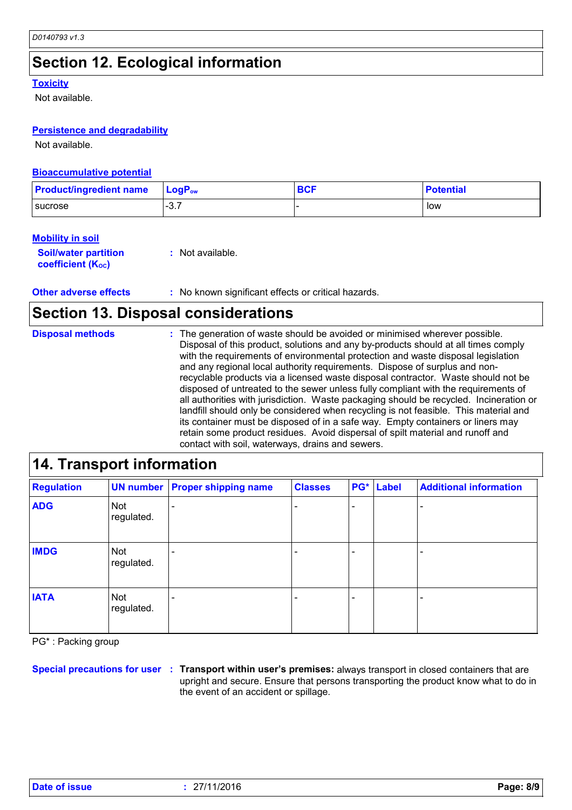## **Section 12. Ecological information**

#### **Toxicity**

Not available.

### **Persistence and degradability**

Not available.

### **Bioaccumulative potential**

| <b>Product/ingredient name</b> | $\mathsf{LoaP}_\mathsf{ow}$ | <b>BCF</b> | <b>Potential</b> |
|--------------------------------|-----------------------------|------------|------------------|
| <b>I</b> sucrose               | $\sim$ $\sim$<br>…ت−        |            | low              |

### **Mobility in soil**

**Soil/water partition coefficient (Koc) :** Not available.

**Other adverse effects** : No known significant effects or critical hazards.

## **Section 13. Disposal considerations**

The generation of waste should be avoided or minimised wherever possible. Disposal of this product, solutions and any by-products should at all times comply with the requirements of environmental protection and waste disposal legislation and any regional local authority requirements. Dispose of surplus and nonrecyclable products via a licensed waste disposal contractor. Waste should not be disposed of untreated to the sewer unless fully compliant with the requirements of all authorities with jurisdiction. Waste packaging should be recycled. Incineration or landfill should only be considered when recycling is not feasible. This material and its container must be disposed of in a safe way. Empty containers or liners may retain some product residues. Avoid dispersal of spilt material and runoff and contact with soil, waterways, drains and sewers. **Disposal methods :**

| 14. Transport information |                   |                                       |                |     |       |                               |
|---------------------------|-------------------|---------------------------------------|----------------|-----|-------|-------------------------------|
| <b>Regulation</b>         |                   | <b>UN number Proper shipping name</b> | <b>Classes</b> | PG* | Label | <b>Additional information</b> |
| <b>ADG</b>                | Not<br>regulated. |                                       |                |     |       |                               |
| <b>IMDG</b>               | Not<br>regulated. |                                       |                |     |       |                               |
| <b>IATA</b>               | Not<br>regulated. |                                       |                |     |       |                               |

PG\* : Packing group

**Special precautions for user Transport within user's premises:** always transport in closed containers that are **:** upright and secure. Ensure that persons transporting the product know what to do in the event of an accident or spillage.